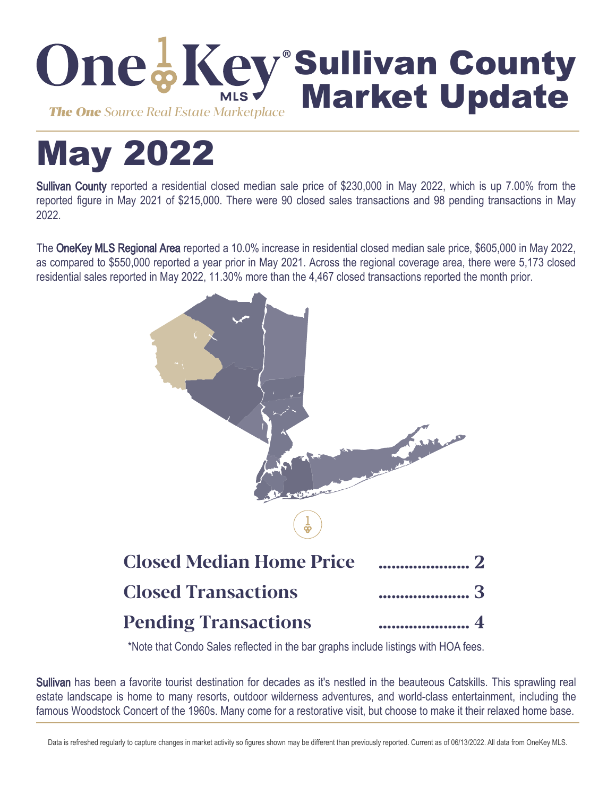

# May 2022

Sullivan County reported a residential closed median sale price of \$230,000 in May 2022, which is up 7.00% from the reported figure in May 2021 of \$215,000. There were 90 closed sales transactions and 98 pending transactions in May 2022.

The OneKey MLS Regional Area reported a 10.0% increase in residential closed median sale price, \$605,000 in May 2022, as compared to \$550,000 reported a year prior in May 2021. Across the regional coverage area, there were 5,173 closed residential sales reported in May 2022, 11.30% more than the 4,467 closed transactions reported the month prior.



\*Note that Condo Sales reflected in the bar graphs include listings with HOA fees.

Sullivan has been a favorite tourist destination for decades as it's nestled in the beauteous Catskills. This sprawling real estate landscape is home to many resorts, outdoor wilderness adventures, and world-class entertainment, including the famous Woodstock Concert of the 1960s. Many come for a restorative visit, but choose to make it their relaxed home base.

Data is refreshed regularly to capture changes in market activity so figures shown may be different than previously reported. Current as of 06/13/2022. All data from OneKey MLS.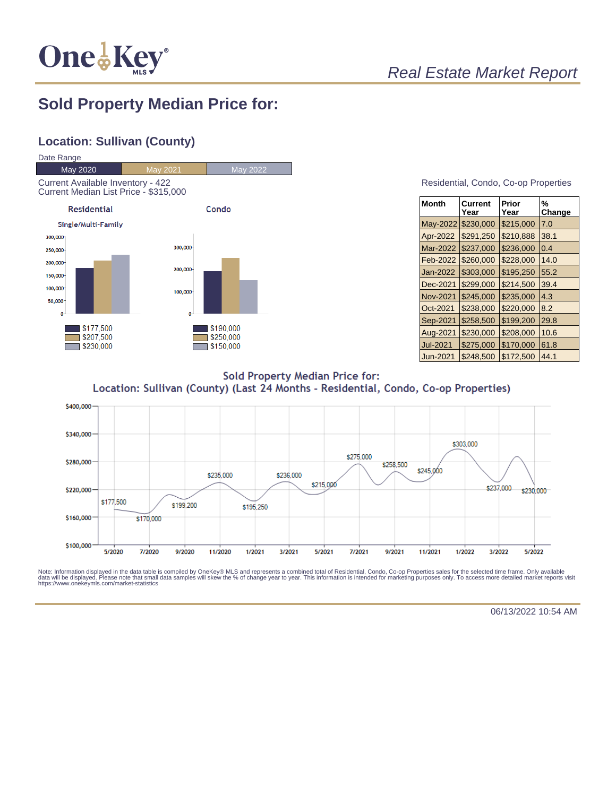

## Real Estate Market Report

## **Sold Property Median Price for:**

### **Location: Sullivan (County)**



#### Residential, Condo, Co-op Properties

| Month           | Current<br>Year | Prior<br>Year | %<br>Change |
|-----------------|-----------------|---------------|-------------|
| May-2022        | \$230,000       | \$215,000     | 7.0         |
| Apr-2022        | \$291,250       | \$210,888     | 38.1        |
| Mar-2022        | \$237,000       | \$236,000     | 0.4         |
| Feb-2022        | \$260,000       | \$228,000     | 14.0        |
| Jan-2022        | \$303,000       | \$195,250     | 55.2        |
| Dec-2021        | \$299.000       | \$214,500     | 39.4        |
| <b>Nov-2021</b> | \$245,000       | \$235,000     | 4.3         |
| Oct-2021        | \$238,000       | \$220,000     | 8.2         |
| Sep-2021        | \$258,500       | \$199,200     | 29.8        |
| Aug-2021        | \$230,000       | \$208,000     | 10.6        |
| <b>Jul-2021</b> | \$275,000       | \$170,000     | 61.8        |
| Jun-2021        | \$248,500       | \$172,500     | 44.1        |

**Sold Property Median Price for:** Location: Sullivan (County) (Last 24 Months - Residential, Condo, Co-op Properties)



Note: Information displayed in the data table is compiled by OneKey® MLS and represents a combined total of Residential, Condo, Co-op Properties sales for the selected time frame. Only available<br>data will be displayed. Pl

06/13/2022 10:54 AM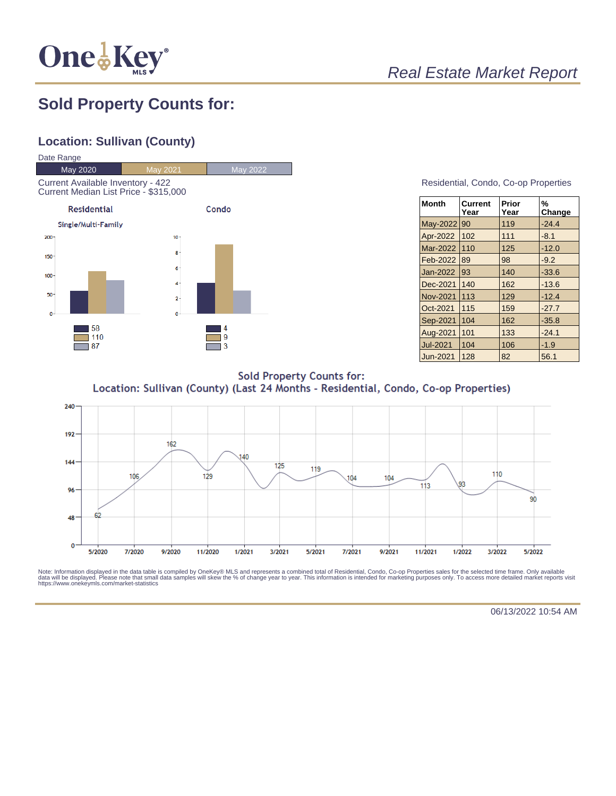

# Real Estate Market Report

## **Sold Property Counts for:**

## **Location: Sullivan (County)**



#### Residential, Condo, Co-op Properties

| <b>Month</b>    | Current<br>Year | Prior<br>Year | %<br>Change |
|-----------------|-----------------|---------------|-------------|
| May-2022        | 90              | 119           | $-24.4$     |
| Apr-2022        | 102             | 111           | $-8.1$      |
| Mar-2022        | 110             | 125           | $-12.0$     |
| Feb-2022        | 89              | 98            | $-9.2$      |
| Jan-2022        | 93              | 140           | $-33.6$     |
| Dec-2021        | 140             | 162           | $-13.6$     |
| <b>Nov-2021</b> | 113             | 129           | $-12.4$     |
| Oct-2021        | 115             | 159           | $-27.7$     |
| Sep-2021        | 104             | 162           | $-35.8$     |
| Aug-2021        | 101             | 133           | $-24.1$     |
| <b>Jul-2021</b> | 104             | 106           | $-1.9$      |
| Jun-2021        | 128             | 82            | 56.1        |

**Sold Property Counts for:** Location: Sullivan (County) (Last 24 Months - Residential, Condo, Co-op Properties)



Note: Information displayed in the data table is compiled by OneKey® MLS and represents a combined total of Residential, Condo, Co-op Properties sales for the selected time frame. Only available<br>data will be displayed. Pl

06/13/2022 10:54 AM